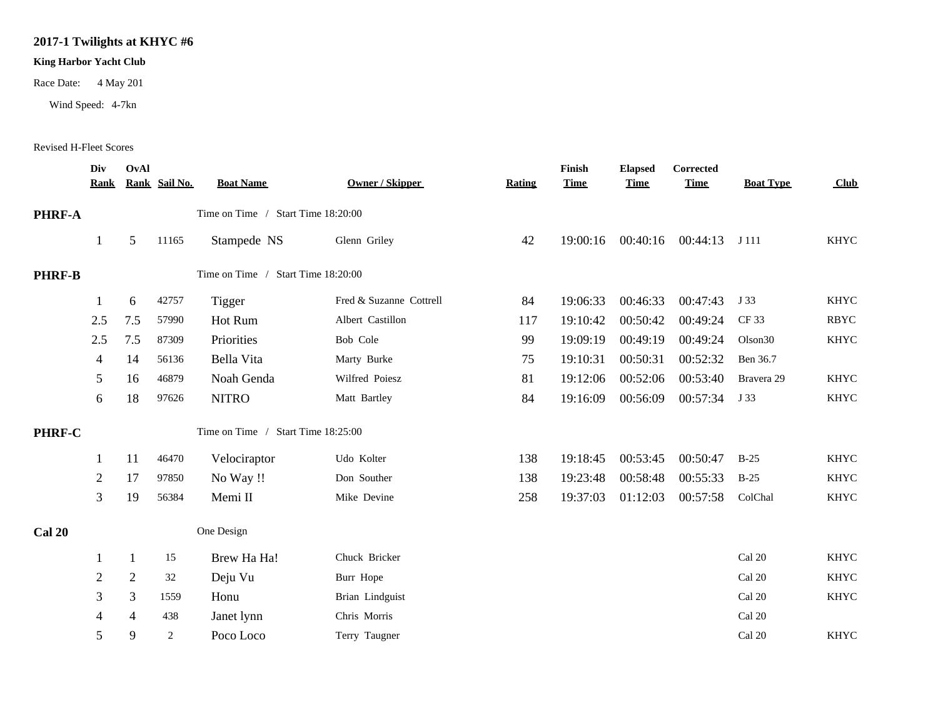## **2017-1 Twilights at KHYC #6**

## **King Harbor Yacht Club**

Race Date: 4 May 201

Wind Speed: 4-7kn

## Revised H-Fleet Scores

|               | Div<br><b>Rank</b> | OvAl           | Rank Sail No.  | <b>Boat Name</b>                   | Owner / Skipper         | Rating | Finish<br><b>Time</b> | <b>Elapsed</b><br><b>Time</b> | Corrected<br><b>Time</b> | <b>Boat Type</b>    | Club        |
|---------------|--------------------|----------------|----------------|------------------------------------|-------------------------|--------|-----------------------|-------------------------------|--------------------------|---------------------|-------------|
| PHRF-A        |                    |                |                | Time on Time / Start Time 18:20:00 |                         |        |                       |                               |                          |                     |             |
|               |                    | 5 <sup>5</sup> | 11165          | Stampede NS                        | Glenn Griley            | 42     | 19:00:16              | 00:40:16                      | $00:44:13$ J 111         |                     | <b>KHYC</b> |
| <b>PHRF-B</b> |                    |                |                | Time on Time / Start Time 18:20:00 |                         |        |                       |                               |                          |                     |             |
|               | -1                 | 6              | 42757          | Tigger                             | Fred & Suzanne Cottrell | 84     | 19:06:33              | 00:46:33                      | 00:47:43                 | J 33                | <b>KHYC</b> |
|               | 2.5                | 7.5            | 57990          | Hot Rum                            | Albert Castillon        | 117    | 19:10:42              | 00:50:42                      | 00:49:24                 | CF 33               | <b>RBYC</b> |
|               | 2.5                | 7.5            | 87309          | Priorities                         | Bob Cole                | 99     | 19:09:19              | 00:49:19                      | 00:49:24                 | Olson <sub>30</sub> | <b>KHYC</b> |
|               | 4                  | 14             | 56136          | Bella Vita                         | Marty Burke             | 75     | 19:10:31              | 00:50:31                      | 00:52:32                 | Ben 36.7            |             |
|               | 5                  | 16             | 46879          | Noah Genda                         | Wilfred Poiesz          | 81     | 19:12:06              | 00:52:06                      | 00:53:40                 | Bravera 29          | <b>KHYC</b> |
|               | 6                  | 18             | 97626          | <b>NITRO</b>                       | Matt Bartley            | 84     | 19:16:09              | 00:56:09                      | 00:57:34                 | J 33                | <b>KHYC</b> |
| PHRF-C        |                    |                |                | Time on Time / Start Time 18:25:00 |                         |        |                       |                               |                          |                     |             |
|               |                    | 11             | 46470          | Velociraptor                       | Udo Kolter              | 138    | 19:18:45              | 00:53:45                      | 00:50:47                 | $B-25$              | <b>KHYC</b> |
|               | 2                  | 17             | 97850          | No Way !!                          | Don Souther             | 138    | 19:23:48              | 00:58:48                      | 00:55:33                 | $B-25$              | <b>KHYC</b> |
|               | 3                  | 19             | 56384          | Memi II                            | Mike Devine             | 258    | 19:37:03              | 01:12:03                      | 00:57:58                 | ColChal             | <b>KHYC</b> |
| <b>Cal 20</b> |                    |                |                | One Design                         |                         |        |                       |                               |                          |                     |             |
|               |                    | $\mathbf{1}$   | 15             | Brew Ha Ha!                        | Chuck Bricker           |        |                       |                               |                          | Cal 20              | <b>KHYC</b> |
|               | $\overline{2}$     | 2              | 32             | Deju Vu                            | Burr Hope               |        |                       |                               |                          | Cal 20              | <b>KHYC</b> |
|               | 3                  | 3              | 1559           | Honu                               | Brian Lindguist         |        |                       |                               |                          | Cal 20              | <b>KHYC</b> |
|               | 4                  | 4              | 438            | Janet lynn                         | Chris Morris            |        |                       |                               |                          | Cal 20              |             |
|               | 5                  | 9              | $\overline{2}$ | Poco Loco                          | Terry Taugner           |        |                       |                               |                          | Cal 20              | <b>KHYC</b> |